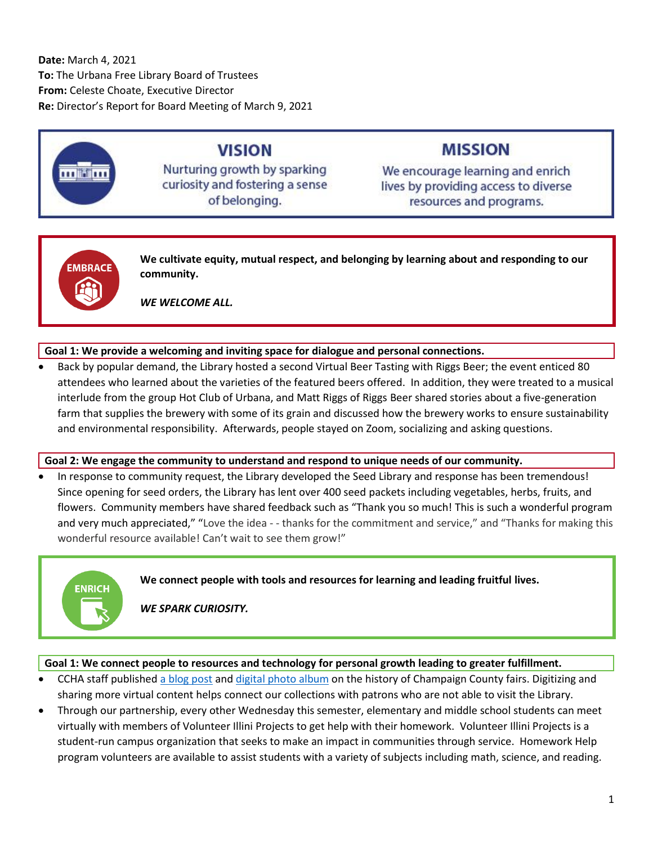## **Date:** March 4, 2021 **To:** The Urbana Free Library Board of Trustees **From:** Celeste Choate, Executive Director **Re:** Director's Report for Board Meeting of March 9, 2021



# **VISION**

Nurturing growth by sparking curiosity and fostering a sense of belonging.

## **MISSION**

We encourage learning and enrich lives by providing access to diverse resources and programs.



**ENRICH** 

**We cultivate equity, mutual respect, and belonging by learning about and responding to our community.**

*WE WELCOME ALL.*

## **Goal 1: We provide a welcoming and inviting space for dialogue and personal connections.**

 Back by popular demand, the Library hosted a second Virtual Beer Tasting with Riggs Beer; the event enticed 80 attendees who learned about the varieties of the featured beers offered. In addition, they were treated to a musical interlude from the group Hot Club of Urbana, and Matt Riggs of Riggs Beer shared stories about a five-generation farm that supplies the brewery with some of its grain and discussed how the brewery works to ensure sustainability and environmental responsibility. Afterwards, people stayed on Zoom, socializing and asking questions.

## **Goal 2: We engage the community to understand and respond to unique needs of our community.**

 In response to community request, the Library developed the Seed Library and response has been tremendous! Since opening for seed orders, the Library has lent over 400 seed packets including vegetables, herbs, fruits, and flowers. Community members have shared feedback such as "Thank you so much! This is such a wonderful program and very much appreciated," "Love the idea - - thanks for the commitment and service," and "Thanks for making this wonderful resource available! Can't wait to see them grow!"



*WE SPARK CURIOSITY.*

## **Goal 1: We connect people to resources and technology for personal growth leading to greater fulfillment.**

- CCHA staff published [a blog post](https://urbanafreelibrary.org/blogs/2021/02/22/champaign-county-fair-association) and [digital photo album](https://www.flickr.com/photos/98945443@N05/albums/72157717876436143/with/50832596982/) on the history of Champaign County fairs. Digitizing and sharing more virtual content helps connect our collections with patrons who are not able to visit the Library.
- Through our partnership, every other Wednesday this semester, elementary and middle school students can meet virtually with members of Volunteer Illini Projects to get help with their homework. Volunteer Illini Projects is a student-run campus organization that seeks to make an impact in communities through service. Homework Help program volunteers are available to assist students with a variety of subjects including math, science, and reading.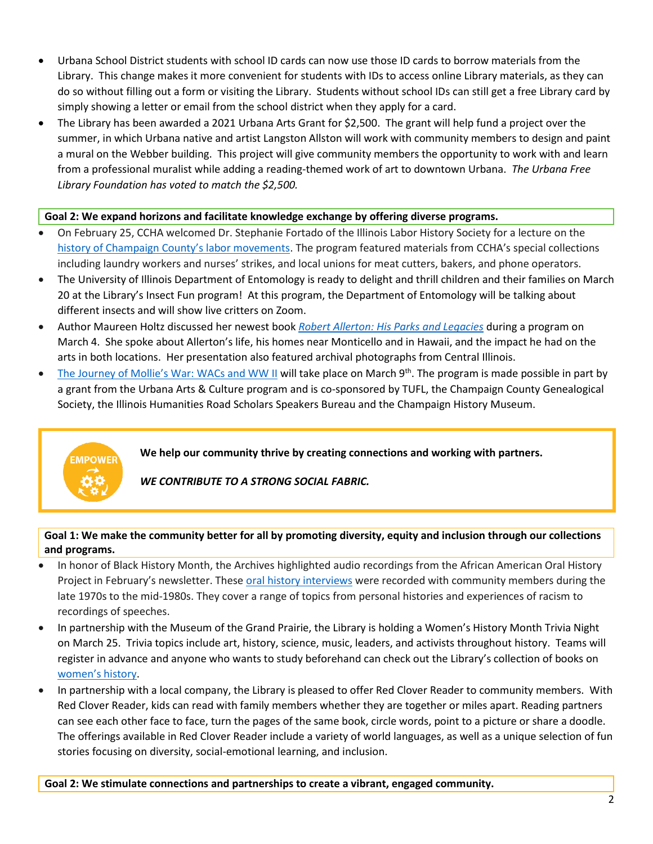- Urbana School District students with school ID cards can now use those ID cards to borrow materials from the Library. This change makes it more convenient for students with IDs to access online Library materials, as they can do so without filling out a form or visiting the Library. Students without school IDs can still get a free Library card by simply showing a letter or email from the school district when they apply for a card.
- The Library has been awarded a 2021 Urbana Arts Grant for \$2,500. The grant will help fund a project over the summer, in which Urbana native and artist Langston Allston will work with community members to design and paint a mural on the Webber building. This project will give community members the opportunity to work with and learn from a professional muralist while adding a reading-themed work of art to downtown Urbana. *The Urbana Free Library Foundation has voted to match the \$2,500.*

#### **Goal 2: We expand horizons and facilitate knowledge exchange by offering diverse programs.**

- On February 25, CCHA welcomed Dr. Stephanie Fortado of the Illinois Labor History Society for a lecture on the [history of Champaign County's labor movements](https://events.urbanafree.org/event/4795179). The program featured materials from CCHA's special collections including laundry workers and nurses' strikes, and local unions for meat cutters, bakers, and phone operators.
- The University of Illinois Department of Entomology is ready to delight and thrill children and their families on March 20 at the Library's Insect Fun program! At this program, the Department of Entomology will be talking about different insects and will show live critters on Zoom.
- Author Maureen Holtz discussed her newest book *[Robert Allerton: His Parks and Legacies](https://cucatalog.org/polaris/search/searchresults.aspx?ctx=6.1033.0.0.1&type=Keyword&term=holtz%20maureen%20allerton%20parks%20legacies&by=KW&sort=RELEVANCE&limit=TOM=*&query=&page=0&searchid=7)* during a program on March 4. She spoke about Allerton's life, his homes near Monticello and in Hawaii, and the impact he had on the arts in both locations. Her presentation also featured archival photographs from Central Illinois.
- $\bullet$  The Journey [of Mollie's War: WACs and W](https://urbanafreelibrary.libnet.info/event/4925408)W II will take place on March 9<sup>th</sup>. The program is made possible in part by a grant from the Urbana Arts & Culture program and is co-sponsored by TUFL, the Champaign County Genealogical Society, the Illinois Humanities Road Scholars Speakers Bureau and the Champaign History Museum.

**We help our community thrive by creating connections and working with partners.**

*WE CONTRIBUTE TO A STRONG SOCIAL FABRIC.*

**EMPOWE** 

#### **Goal 1: We make the community better for all by promoting diversity, equity and inclusion through our collections and programs.**

- In honor of Black History Month, the Archives highlighted audio recordings from the African American Oral History Project in February's newsletter. These [oral history interviews](https://archivescatalog.urbanafreelibrary.org/polaris/search/searchresults.aspx?ctx=1.1033.0.0.1&type=Boolean&term=brs=1922&by=KW&sort=RELEVANCE&limit=&query=&page=0&searchid=3) were recorded with community members during the late 1970s to the mid-1980s. They cover a range of topics from personal histories and experiences of racism to recordings of speeches.
- In partnership with the Museum of the Grand Prairie, the Library is holding a Women's History Month Trivia Night on March 25. Trivia topics include art, history, science, music, leaders, and activists throughout history. Teams will register in advance and anyone who wants to study beforehand can check out the Library's collection of books on [women's history](https://cucatalog.org/polaris/search/searchresults.aspx?ctx=6.1033.0.0.1&type=Keyword&term=women).
- In partnership with a local company, the Library is pleased to offer Red Clover Reader to community members. With Red Clover Reader, kids can read with family members whether they are together or miles apart. Reading partners can see each other face to face, turn the pages of the same book, circle words, point to a picture or share a doodle. The offerings available in Red Clover Reader include a variety of world languages, as well as a unique selection of fun stories focusing on diversity, social-emotional learning, and inclusion.

**Goal 2: We stimulate connections and partnerships to create a vibrant, engaged community.**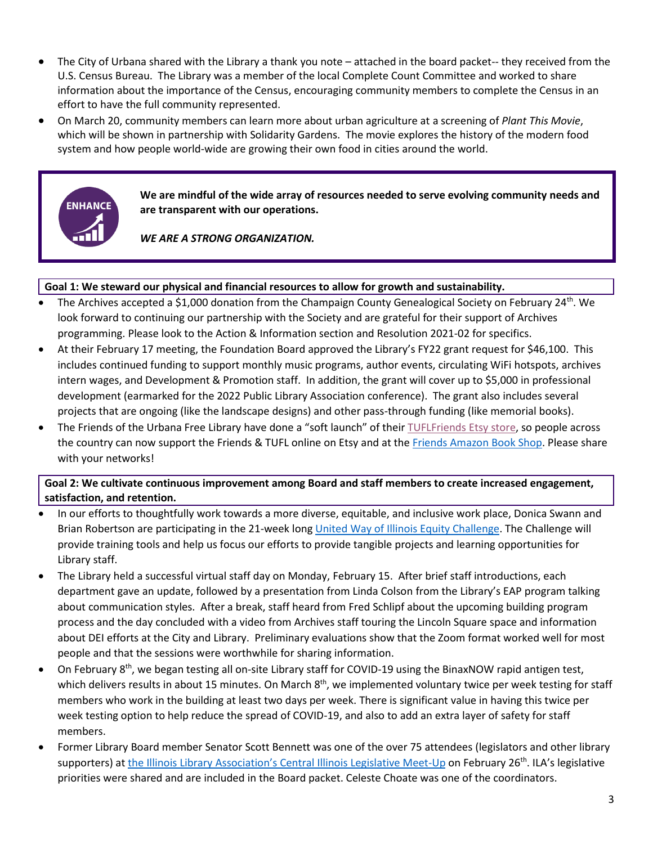- The City of Urbana shared with the Library a thank you note attached in the board packet-- they received from the U.S. Census Bureau. The Library was a member of the local Complete Count Committee and worked to share information about the importance of the Census, encouraging community members to complete the Census in an effort to have the full community represented.
- On March 20, community members can learn more about urban agriculture at a screening of *Plant This Movie*, which will be shown in partnership with Solidarity Gardens. The movie explores the history of the modern food system and how people world-wide are growing their own food in cities around the world.



**We are mindful of the wide array of resources needed to serve evolving community needs and are transparent with our operations.**

*WE ARE A STRONG ORGANIZATION.*

#### **Goal 1: We steward our physical and financial resources to allow for growth and sustainability.**

- The Archives accepted a \$1,000 donation from the Champaign County Genealogical Society on February 24<sup>th</sup>. We look forward to continuing our partnership with the Society and are grateful for their support of Archives programming. Please look to the Action & Information section and Resolution 2021-02 for specifics.
- At their February 17 meeting, the Foundation Board approved the Library's FY22 grant request for \$46,100. This includes continued funding to support monthly music programs, author events, circulating WiFi hotspots, archives intern wages, and Development & Promotion staff. In addition, the grant will cover up to \$5,000 in professional development (earmarked for the 2022 Public Library Association conference). The grant also includes several projects that are ongoing (like the landscape designs) and other pass-through funding (like memorial books).
- The Friends of the Urbana Free Library have done a "soft launch" of their [TUFLFriends Etsy store,](https://urldefense.com/v3/__https:/www.etsy.com/shop/TUFLFriends__;!!DZ3fjg!u_jke8v0HB-SMbBTvugymfoVu2Vfaq_pW-sG0XlOwtFeJEjyARN5D8VOqYZRN74tNE_gpg$) so people across the country can now support the Friends & TUFL online on Etsy and at th[e Friends Amazon Book Shop.](https://www.amazon.com/s?me=A1I0SP8OLKJBEA&marketplaceID=ATVPDKIKX0DER) Please share with your networks!

## **Goal 2: We cultivate continuous improvement among Board and staff members to create increased engagement, satisfaction, and retention.**

- In our efforts to thoughtfully work towards a more diverse, equitable, and inclusive work place, Donica Swann and Brian Robertson are participating in the 21-week lon[g United Way of Illinois Equity Challenge.](https://unitedwayillinois.org/equity-challenge-content/) The Challenge will provide training tools and help us focus our efforts to provide tangible projects and learning opportunities for Library staff.
- The Library held a successful virtual staff day on Monday, February 15. After brief staff introductions, each department gave an update, followed by a presentation from Linda Colson from the Library's EAP program talking about communication styles. After a break, staff heard from Fred Schlipf about the upcoming building program process and the day concluded with a video from Archives staff touring the Lincoln Square space and information about DEI efforts at the City and Library. Preliminary evaluations show that the Zoom format worked well for most people and that the sessions were worthwhile for sharing information.
- On February 8th, we began testing all on-site Library staff for COVID-19 using the BinaxNOW rapid antigen test, which delivers results in about 15 minutes. On March  $8<sup>th</sup>$ , we implemented voluntary twice per week testing for staff members who work in the building at least two days per week. There is significant value in having this twice per week testing option to help reduce the spread of COVID-19, and also to add an extra layer of safety for staff members.
- Former Library Board member Senator Scott Bennett was one of the over 75 attendees (legislators and other library supporters) at <u>the Illinois Library Association'[s Central Illinois Legislative Meet-Up](https://www.ila.org/events/legislative-meet-ups)</u> on February 26<sup>th</sup>. ILA's legislative priorities were shared and are included in the Board packet. Celeste Choate was one of the coordinators.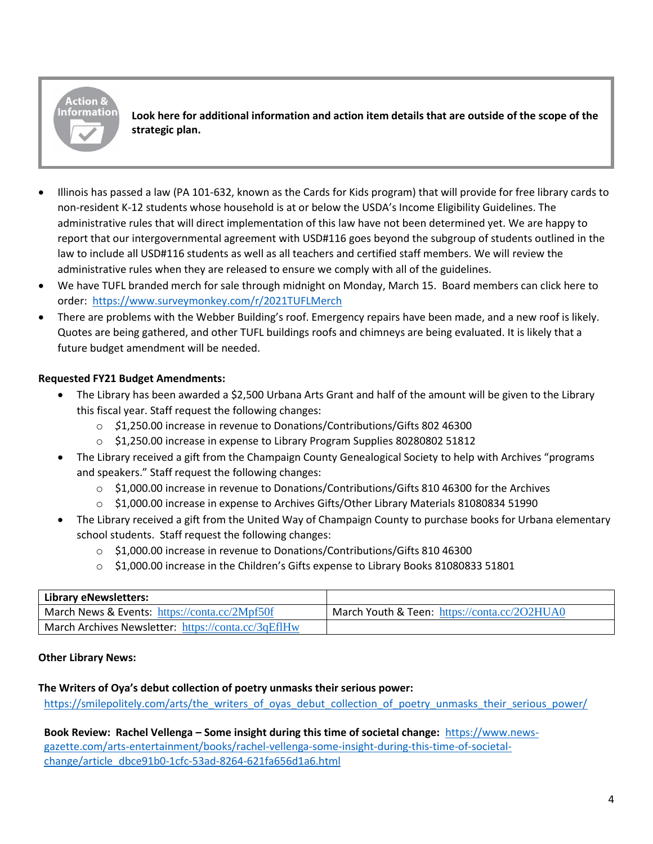

**Look here for additional information and action item details that are outside of the scope of the strategic plan.**

- Illinois has passed a law (PA 101-632, known as the Cards for Kids program) that will provide for free library cards to non-resident K-12 students whose household is at or below the USDA's Income Eligibility Guidelines. The administrative rules that will direct implementation of this law have not been determined yet. We are happy to report that our intergovernmental agreement with USD#116 goes beyond the subgroup of students outlined in the law to include all USD#116 students as well as all teachers and certified staff members. We will review the administrative rules when they are released to ensure we comply with all of the guidelines.
- We have TUFL branded merch for sale through midnight on Monday, March 15. Board members can click here to order:<https://www.surveymonkey.com/r/2021TUFLMerch>
- There are problems with the Webber Building's roof. Emergency repairs have been made, and a new roof is likely. Quotes are being gathered, and other TUFL buildings roofs and chimneys are being evaluated. It is likely that a future budget amendment will be needed.

## **Requested FY21 Budget Amendments:**

- The Library has been awarded a \$2,500 Urbana Arts Grant and half of the amount will be given to the Library this fiscal year. Staff request the following changes:
	- o *\$*1,250.00 increase in revenue to Donations/Contributions/Gifts 802 46300
	- o \$1,250.00 increase in expense to Library Program Supplies 80280802 51812
- The Library received a gift from the Champaign County Genealogical Society to help with Archives "programs and speakers." Staff request the following changes:
	- o \$1,000.00 increase in revenue to Donations/Contributions/Gifts 810 46300 for the Archives
	- o \$1,000.00 increase in expense to Archives Gifts/Other Library Materials 81080834 51990
- The Library received a gift from the United Way of Champaign County to purchase books for Urbana elementary school students. Staff request the following changes:
	- o \$1,000.00 increase in revenue to Donations/Contributions/Gifts 810 46300
	- o \$1,000.00 increase in the Children's Gifts expense to Library Books 81080833 51801

| Library eNewsletters:                               |                                              |
|-----------------------------------------------------|----------------------------------------------|
| March News & Events: https://conta.cc/2Mpf50f       | March Youth & Teen: https://conta.cc/202HUA0 |
| March Archives Newsletter: https://conta.cc/3qEfIHw |                                              |

#### **Other Library News:**

#### **The Writers of Oya's debut collection of poetry unmasks their serious power:**

[https://smilepolitely.com/arts/the\\_writers\\_of\\_oyas\\_debut\\_collection\\_of\\_poetry\\_unmasks\\_their\\_serious\\_power/](https://smilepolitely.com/arts/the_writers_of_oyas_debut_collection_of_poetry_unmasks_their_serious_power/)

**Book Review: Rachel Vellenga – Some insight during this time of societal change:** [https://www.news](https://www.news-gazette.com/arts-entertainment/books/rachel-vellenga-some-insight-during-this-time-of-societal-change/article_dbce91b0-1cfc-53ad-8264-621fa656d1a6.html)[gazette.com/arts-entertainment/books/rachel-vellenga-some-insight-during-this-time-of-societal](https://www.news-gazette.com/arts-entertainment/books/rachel-vellenga-some-insight-during-this-time-of-societal-change/article_dbce91b0-1cfc-53ad-8264-621fa656d1a6.html)[change/article\\_dbce91b0-1cfc-53ad-8264-621fa656d1a6.html](https://www.news-gazette.com/arts-entertainment/books/rachel-vellenga-some-insight-during-this-time-of-societal-change/article_dbce91b0-1cfc-53ad-8264-621fa656d1a6.html)